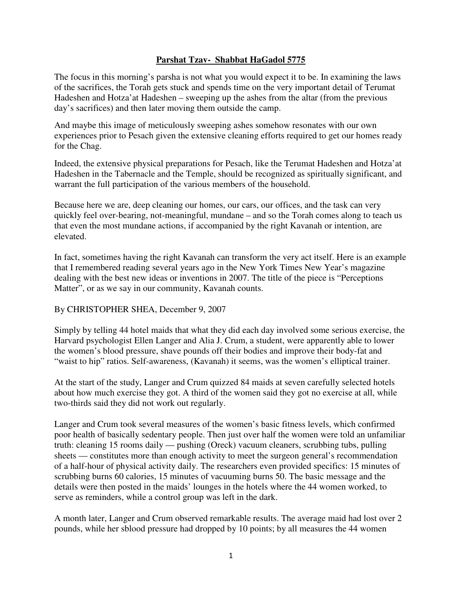## **Parshat Tzav- Shabbat HaGadol 5775**

The focus in this morning's parsha is not what you would expect it to be. In examining the laws of the sacrifices, the Torah gets stuck and spends time on the very important detail of Terumat Hadeshen and Hotza'at Hadeshen – sweeping up the ashes from the altar (from the previous day's sacrifices) and then later moving them outside the camp.

And maybe this image of meticulously sweeping ashes somehow resonates with our own experiences prior to Pesach given the extensive cleaning efforts required to get our homes ready for the Chag.

Indeed, the extensive physical preparations for Pesach, like the Terumat Hadeshen and Hotza'at Hadeshen in the Tabernacle and the Temple, should be recognized as spiritually significant, and warrant the full participation of the various members of the household.

Because here we are, deep cleaning our homes, our cars, our offices, and the task can very quickly feel over-bearing, not-meaningful, mundane – and so the Torah comes along to teach us that even the most mundane actions, if accompanied by the right Kavanah or intention, are elevated.

In fact, sometimes having the right Kavanah can transform the very act itself. Here is an example that I remembered reading several years ago in the New York Times New Year's magazine dealing with the best new ideas or inventions in 2007. The title of the piece is "Perceptions Matter", or as we say in our community, Kavanah counts.

## By CHRISTOPHER SHEA, December 9, 2007

Simply by telling 44 hotel maids that what they did each day involved some serious exercise, the Harvard psychologist Ellen Langer and Alia J. Crum, a student, were apparently able to lower the women's blood pressure, shave pounds off their bodies and improve their body-fat and "waist to hip" ratios. Self-awareness, (Kavanah) it seems, was the women's elliptical trainer.

At the start of the study, Langer and Crum quizzed 84 maids at seven carefully selected hotels about how much exercise they got. A third of the women said they got no exercise at all, while two-thirds said they did not work out regularly.

Langer and Crum took several measures of the women's basic fitness levels, which confirmed poor health of basically sedentary people. Then just over half the women were told an unfamiliar truth: cleaning 15 rooms daily — pushing (Oreck) vacuum cleaners, scrubbing tubs, pulling sheets — constitutes more than enough activity to meet the surgeon general's recommendation of a half-hour of physical activity daily. The researchers even provided specifics: 15 minutes of scrubbing burns 60 calories, 15 minutes of vacuuming burns 50. The basic message and the details were then posted in the maids' lounges in the hotels where the 44 women worked, to serve as reminders, while a control group was left in the dark.

A month later, Langer and Crum observed remarkable results. The average maid had lost over 2 pounds, while her sblood pressure had dropped by 10 points; by all measures the 44 women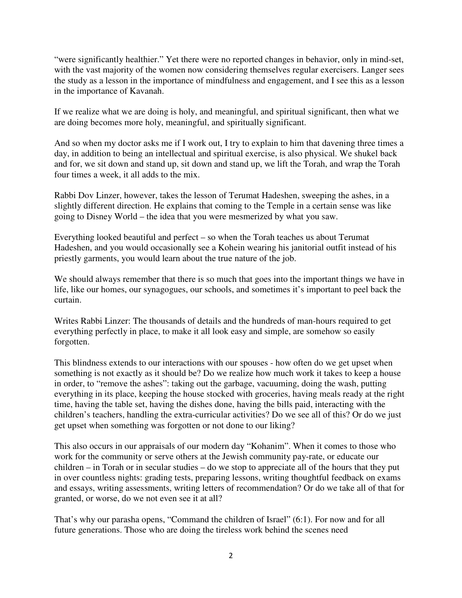"were significantly healthier." Yet there were no reported changes in behavior, only in mind-set, with the vast majority of the women now considering themselves regular exercisers. Langer sees the study as a lesson in the importance of mindfulness and engagement, and I see this as a lesson in the importance of Kavanah.

If we realize what we are doing is holy, and meaningful, and spiritual significant, then what we are doing becomes more holy, meaningful, and spiritually significant.

And so when my doctor asks me if I work out, I try to explain to him that davening three times a day, in addition to being an intellectual and spiritual exercise, is also physical. We shukel back and for, we sit down and stand up, sit down and stand up, we lift the Torah, and wrap the Torah four times a week, it all adds to the mix.

Rabbi Dov Linzer, however, takes the lesson of Terumat Hadeshen, sweeping the ashes, in a slightly different direction. He explains that coming to the Temple in a certain sense was like going to Disney World – the idea that you were mesmerized by what you saw.

Everything looked beautiful and perfect – so when the Torah teaches us about Terumat Hadeshen, and you would occasionally see a Kohein wearing his janitorial outfit instead of his priestly garments, you would learn about the true nature of the job.

We should always remember that there is so much that goes into the important things we have in life, like our homes, our synagogues, our schools, and sometimes it's important to peel back the curtain.

Writes Rabbi Linzer: The thousands of details and the hundreds of man-hours required to get everything perfectly in place, to make it all look easy and simple, are somehow so easily forgotten.

This blindness extends to our interactions with our spouses - how often do we get upset when something is not exactly as it should be? Do we realize how much work it takes to keep a house in order, to "remove the ashes": taking out the garbage, vacuuming, doing the wash, putting everything in its place, keeping the house stocked with groceries, having meals ready at the right time, having the table set, having the dishes done, having the bills paid, interacting with the children's teachers, handling the extra-curricular activities? Do we see all of this? Or do we just get upset when something was forgotten or not done to our liking?

This also occurs in our appraisals of our modern day "Kohanim". When it comes to those who work for the community or serve others at the Jewish community pay-rate, or educate our children – in Torah or in secular studies – do we stop to appreciate all of the hours that they put in over countless nights: grading tests, preparing lessons, writing thoughtful feedback on exams and essays, writing assessments, writing letters of recommendation? Or do we take all of that for granted, or worse, do we not even see it at all?

That's why our parasha opens, "Command the children of Israel" (6:1). For now and for all future generations. Those who are doing the tireless work behind the scenes need